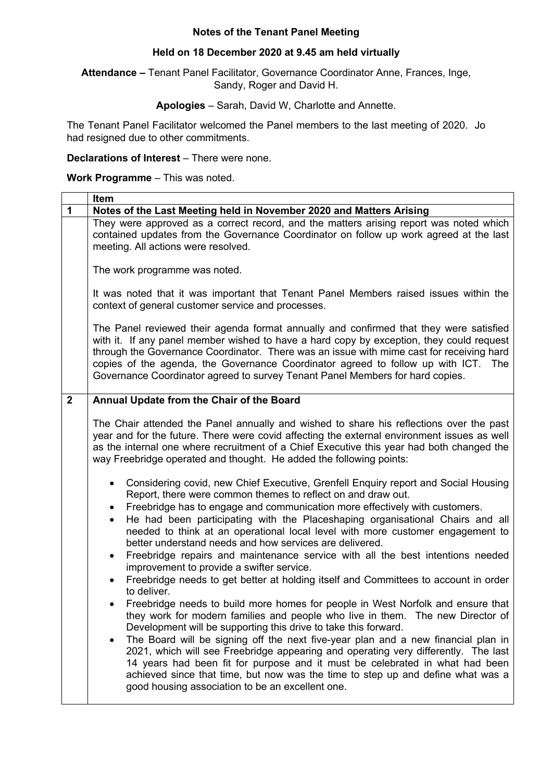## **Notes of the Tenant Panel Meeting**

## **Held on 18 December 2020 at 9.45 am held virtually**

**Attendance –** Tenant Panel Facilitator, Governance Coordinator Anne, Frances, Inge, Sandy, Roger and David H.

## **Apologies** – Sarah, David W, Charlotte and Annette.

The Tenant Panel Facilitator welcomed the Panel members to the last meeting of 2020. Jo had resigned due to other commitments.

## **Declarations of Interest** – There were none.

**Work Programme** – This was noted.

|                | Item                                                                                                                                                                                                                                                                                                                                                                                                                                                                                                                                                                                                                                                                                                                                                                                                                                                                                                                                                                                                                                                                                                                                                                                                                                                                                                                                                                                                                                                                                                                                                                                                                           |
|----------------|--------------------------------------------------------------------------------------------------------------------------------------------------------------------------------------------------------------------------------------------------------------------------------------------------------------------------------------------------------------------------------------------------------------------------------------------------------------------------------------------------------------------------------------------------------------------------------------------------------------------------------------------------------------------------------------------------------------------------------------------------------------------------------------------------------------------------------------------------------------------------------------------------------------------------------------------------------------------------------------------------------------------------------------------------------------------------------------------------------------------------------------------------------------------------------------------------------------------------------------------------------------------------------------------------------------------------------------------------------------------------------------------------------------------------------------------------------------------------------------------------------------------------------------------------------------------------------------------------------------------------------|
| $\mathbf{1}$   | Notes of the Last Meeting held in November 2020 and Matters Arising                                                                                                                                                                                                                                                                                                                                                                                                                                                                                                                                                                                                                                                                                                                                                                                                                                                                                                                                                                                                                                                                                                                                                                                                                                                                                                                                                                                                                                                                                                                                                            |
|                | They were approved as a correct record, and the matters arising report was noted which<br>contained updates from the Governance Coordinator on follow up work agreed at the last<br>meeting. All actions were resolved.                                                                                                                                                                                                                                                                                                                                                                                                                                                                                                                                                                                                                                                                                                                                                                                                                                                                                                                                                                                                                                                                                                                                                                                                                                                                                                                                                                                                        |
|                | The work programme was noted.                                                                                                                                                                                                                                                                                                                                                                                                                                                                                                                                                                                                                                                                                                                                                                                                                                                                                                                                                                                                                                                                                                                                                                                                                                                                                                                                                                                                                                                                                                                                                                                                  |
|                | It was noted that it was important that Tenant Panel Members raised issues within the<br>context of general customer service and processes.                                                                                                                                                                                                                                                                                                                                                                                                                                                                                                                                                                                                                                                                                                                                                                                                                                                                                                                                                                                                                                                                                                                                                                                                                                                                                                                                                                                                                                                                                    |
|                | The Panel reviewed their agenda format annually and confirmed that they were satisfied<br>with it. If any panel member wished to have a hard copy by exception, they could request<br>through the Governance Coordinator. There was an issue with mime cast for receiving hard<br>copies of the agenda, the Governance Coordinator agreed to follow up with ICT. The<br>Governance Coordinator agreed to survey Tenant Panel Members for hard copies.                                                                                                                                                                                                                                                                                                                                                                                                                                                                                                                                                                                                                                                                                                                                                                                                                                                                                                                                                                                                                                                                                                                                                                          |
| $\overline{2}$ | Annual Update from the Chair of the Board                                                                                                                                                                                                                                                                                                                                                                                                                                                                                                                                                                                                                                                                                                                                                                                                                                                                                                                                                                                                                                                                                                                                                                                                                                                                                                                                                                                                                                                                                                                                                                                      |
|                | The Chair attended the Panel annually and wished to share his reflections over the past<br>year and for the future. There were covid affecting the external environment issues as well<br>as the internal one where recruitment of a Chief Executive this year had both changed the<br>way Freebridge operated and thought. He added the following points:<br>Considering covid, new Chief Executive, Grenfell Enquiry report and Social Housing<br>$\bullet$<br>Report, there were common themes to reflect on and draw out.<br>Freebridge has to engage and communication more effectively with customers.<br>$\bullet$<br>He had been participating with the Placeshaping organisational Chairs and all<br>$\bullet$<br>needed to think at an operational local level with more customer engagement to<br>better understand needs and how services are delivered.<br>Freebridge repairs and maintenance service with all the best intentions needed<br>$\bullet$<br>improvement to provide a swifter service.<br>Freebridge needs to get better at holding itself and Committees to account in order<br>to deliver.<br>Freebridge needs to build more homes for people in West Norfolk and ensure that<br>they work for modern families and people who live in them. The new Director of<br>Development will be supporting this drive to take this forward.<br>The Board will be signing off the next five-year plan and a new financial plan in<br>٠<br>2021, which will see Freebridge appearing and operating very differently. The last<br>14 years had been fit for purpose and it must be celebrated in what had been |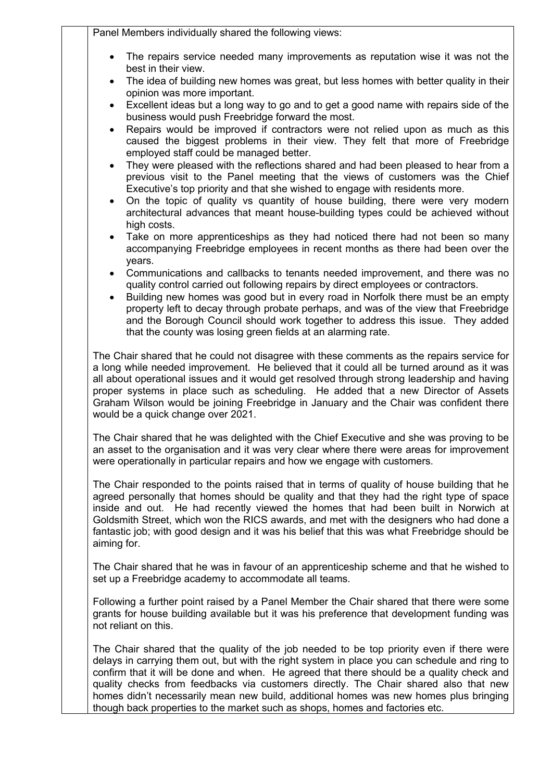|                        | Panel Members individually shared the following views:                                                                                                                                                                                                                                                                                                                                                                                                                                                       |
|------------------------|--------------------------------------------------------------------------------------------------------------------------------------------------------------------------------------------------------------------------------------------------------------------------------------------------------------------------------------------------------------------------------------------------------------------------------------------------------------------------------------------------------------|
|                        | The repairs service needed many improvements as reputation wise it was not the<br>best in their view.                                                                                                                                                                                                                                                                                                                                                                                                        |
| $\bullet$              | The idea of building new homes was great, but less homes with better quality in their<br>opinion was more important.                                                                                                                                                                                                                                                                                                                                                                                         |
| $\bullet$              | Excellent ideas but a long way to go and to get a good name with repairs side of the<br>business would push Freebridge forward the most.                                                                                                                                                                                                                                                                                                                                                                     |
| $\bullet$              | Repairs would be improved if contractors were not relied upon as much as this<br>caused the biggest problems in their view. They felt that more of Freebridge<br>employed staff could be managed better.                                                                                                                                                                                                                                                                                                     |
| $\bullet$<br>$\bullet$ | They were pleased with the reflections shared and had been pleased to hear from a<br>previous visit to the Panel meeting that the views of customers was the Chief<br>Executive's top priority and that she wished to engage with residents more.<br>On the topic of quality vs quantity of house building, there were very modern<br>architectural advances that meant house-building types could be achieved without                                                                                       |
| $\bullet$              | high costs.<br>Take on more apprenticeships as they had noticed there had not been so many<br>accompanying Freebridge employees in recent months as there had been over the                                                                                                                                                                                                                                                                                                                                  |
|                        | years.<br>Communications and callbacks to tenants needed improvement, and there was no<br>quality control carried out following repairs by direct employees or contractors.<br>Building new homes was good but in every road in Norfolk there must be an empty<br>property left to decay through probate perhaps, and was of the view that Freebridge<br>and the Borough Council should work together to address this issue. They added<br>that the county was losing green fields at an alarming rate.      |
|                        | The Chair shared that he could not disagree with these comments as the repairs service for<br>a long while needed improvement. He believed that it could all be turned around as it was<br>all about operational issues and it would get resolved through strong leadership and having<br>proper systems in place such as scheduling. He added that a new Director of Assets<br>Graham Wilson would be joining Freebridge in January and the Chair was confident there<br>would be a quick change over 2021. |
|                        | The Chair shared that he was delighted with the Chief Executive and she was proving to be<br>an asset to the organisation and it was very clear where there were areas for improvement<br>were operationally in particular repairs and how we engage with customers.                                                                                                                                                                                                                                         |
| aiming for.            | The Chair responded to the points raised that in terms of quality of house building that he<br>agreed personally that homes should be quality and that they had the right type of space<br>inside and out. He had recently viewed the homes that had been built in Norwich at<br>Goldsmith Street, which won the RICS awards, and met with the designers who had done a<br>fantastic job; with good design and it was his belief that this was what Freebridge should be                                     |
|                        | The Chair shared that he was in favour of an apprenticeship scheme and that he wished to<br>set up a Freebridge academy to accommodate all teams.                                                                                                                                                                                                                                                                                                                                                            |
|                        | Following a further point raised by a Panel Member the Chair shared that there were some<br>grants for house building available but it was his preference that development funding was<br>not reliant on this.                                                                                                                                                                                                                                                                                               |
|                        | The Chair shared that the quality of the job needed to be top priority even if there were<br>delays in carrying them out, but with the right system in place you can schedule and ring to<br>confirm that it will be done and when. He agreed that there should be a quality check and<br>quality checks from feedbacks via customers directly. The Chair shared also that new<br>homes didn't necessarily mean new build, additional homes was new homes plus bringing                                      |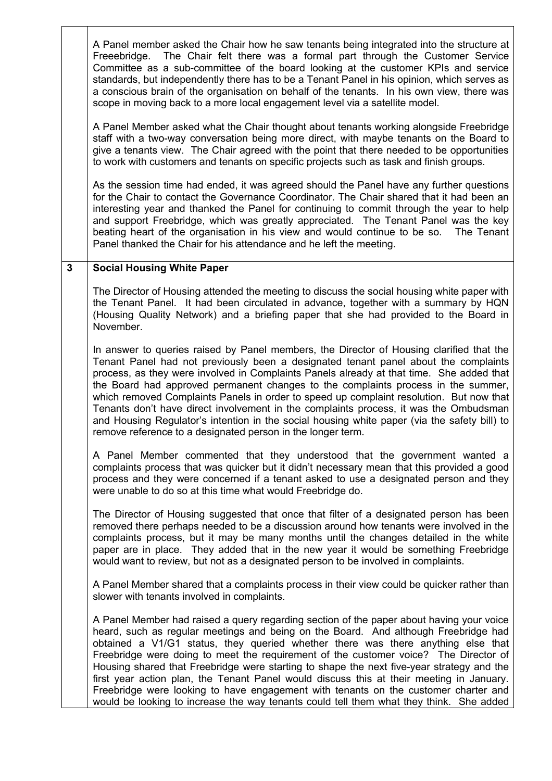|              | A Panel member asked the Chair how he saw tenants being integrated into the structure at<br>Freeebridge. The Chair felt there was a formal part through the Customer Service<br>Committee as a sub-committee of the board looking at the customer KPIs and service<br>standards, but independently there has to be a Tenant Panel in his opinion, which serves as<br>a conscious brain of the organisation on behalf of the tenants. In his own view, there was<br>scope in moving back to a more local engagement level via a satellite model.                                                                                                                                                                                        |
|--------------|----------------------------------------------------------------------------------------------------------------------------------------------------------------------------------------------------------------------------------------------------------------------------------------------------------------------------------------------------------------------------------------------------------------------------------------------------------------------------------------------------------------------------------------------------------------------------------------------------------------------------------------------------------------------------------------------------------------------------------------|
|              | A Panel Member asked what the Chair thought about tenants working alongside Freebridge<br>staff with a two-way conversation being more direct, with maybe tenants on the Board to<br>give a tenants view. The Chair agreed with the point that there needed to be opportunities<br>to work with customers and tenants on specific projects such as task and finish groups.                                                                                                                                                                                                                                                                                                                                                             |
|              | As the session time had ended, it was agreed should the Panel have any further questions<br>for the Chair to contact the Governance Coordinator. The Chair shared that it had been an<br>interesting year and thanked the Panel for continuing to commit through the year to help<br>and support Freebridge, which was greatly appreciated. The Tenant Panel was the key<br>beating heart of the organisation in his view and would continue to be so.<br>The Tenant<br>Panel thanked the Chair for his attendance and he left the meeting.                                                                                                                                                                                            |
| $\mathbf{3}$ | <b>Social Housing White Paper</b>                                                                                                                                                                                                                                                                                                                                                                                                                                                                                                                                                                                                                                                                                                      |
|              | The Director of Housing attended the meeting to discuss the social housing white paper with<br>the Tenant Panel. It had been circulated in advance, together with a summary by HQN<br>(Housing Quality Network) and a briefing paper that she had provided to the Board in<br>November.                                                                                                                                                                                                                                                                                                                                                                                                                                                |
|              | In answer to queries raised by Panel members, the Director of Housing clarified that the<br>Tenant Panel had not previously been a designated tenant panel about the complaints<br>process, as they were involved in Complaints Panels already at that time. She added that<br>the Board had approved permanent changes to the complaints process in the summer,<br>which removed Complaints Panels in order to speed up complaint resolution. But now that<br>Tenants don't have direct involvement in the complaints process, it was the Ombudsman<br>and Housing Regulator's intention in the social housing white paper (via the safety bill) to<br>remove reference to a designated person in the longer term.                    |
|              | A Panel Member commented that they understood that the government wanted a<br>complaints process that was quicker but it didn't necessary mean that this provided a good<br>process and they were concerned if a tenant asked to use a designated person and they<br>were unable to do so at this time what would Freebridge do.                                                                                                                                                                                                                                                                                                                                                                                                       |
|              | The Director of Housing suggested that once that filter of a designated person has been<br>removed there perhaps needed to be a discussion around how tenants were involved in the<br>complaints process, but it may be many months until the changes detailed in the white<br>paper are in place. They added that in the new year it would be something Freebridge<br>would want to review, but not as a designated person to be involved in complaints.                                                                                                                                                                                                                                                                              |
|              | A Panel Member shared that a complaints process in their view could be quicker rather than<br>slower with tenants involved in complaints.                                                                                                                                                                                                                                                                                                                                                                                                                                                                                                                                                                                              |
|              | A Panel Member had raised a query regarding section of the paper about having your voice<br>heard, such as regular meetings and being on the Board. And although Freebridge had<br>obtained a V1/G1 status, they queried whether there was there anything else that<br>Freebridge were doing to meet the requirement of the customer voice? The Director of<br>Housing shared that Freebridge were starting to shape the next five-year strategy and the<br>first year action plan, the Tenant Panel would discuss this at their meeting in January.<br>Freebridge were looking to have engagement with tenants on the customer charter and<br>would be looking to increase the way tenants could tell them what they think. She added |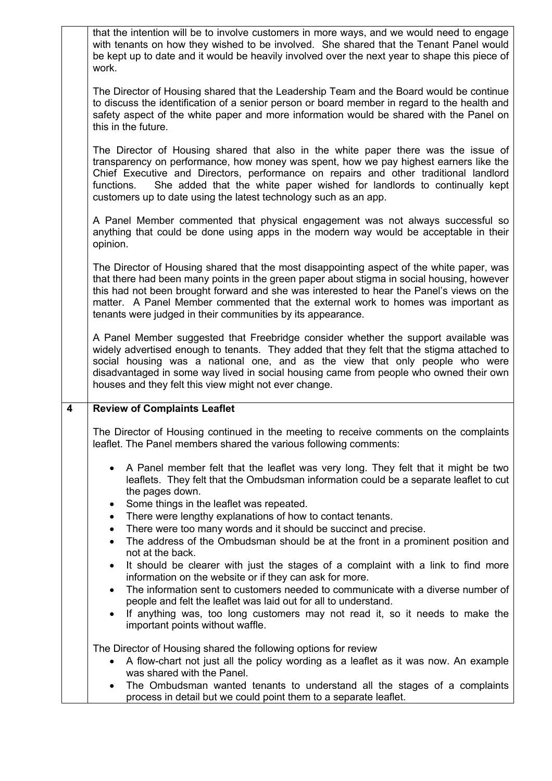|   | that the intention will be to involve customers in more ways, and we would need to engage<br>with tenants on how they wished to be involved. She shared that the Tenant Panel would<br>be kept up to date and it would be heavily involved over the next year to shape this piece of<br>work.                                                                                                                                            |
|---|------------------------------------------------------------------------------------------------------------------------------------------------------------------------------------------------------------------------------------------------------------------------------------------------------------------------------------------------------------------------------------------------------------------------------------------|
|   | The Director of Housing shared that the Leadership Team and the Board would be continue<br>to discuss the identification of a senior person or board member in regard to the health and<br>safety aspect of the white paper and more information would be shared with the Panel on<br>this in the future.                                                                                                                                |
|   | The Director of Housing shared that also in the white paper there was the issue of<br>transparency on performance, how money was spent, how we pay highest earners like the<br>Chief Executive and Directors, performance on repairs and other traditional landlord<br>She added that the white paper wished for landlords to continually kept<br>functions.<br>customers up to date using the latest technology such as an app.         |
|   | A Panel Member commented that physical engagement was not always successful so<br>anything that could be done using apps in the modern way would be acceptable in their<br>opinion.                                                                                                                                                                                                                                                      |
|   | The Director of Housing shared that the most disappointing aspect of the white paper, was<br>that there had been many points in the green paper about stigma in social housing, however<br>this had not been brought forward and she was interested to hear the Panel's views on the<br>matter. A Panel Member commented that the external work to homes was important as<br>tenants were judged in their communities by its appearance. |
|   | A Panel Member suggested that Freebridge consider whether the support available was<br>widely advertised enough to tenants. They added that they felt that the stigma attached to<br>social housing was a national one, and as the view that only people who were<br>disadvantaged in some way lived in social housing came from people who owned their own<br>houses and they felt this view might not ever change.                     |
| 4 | <b>Review of Complaints Leaflet</b>                                                                                                                                                                                                                                                                                                                                                                                                      |
|   | The Director of Housing continued in the meeting to receive comments on the complaints<br>leaflet. The Panel members shared the various following comments:                                                                                                                                                                                                                                                                              |
|   | A Panel member felt that the leaflet was very long. They felt that it might be two<br>$\bullet$<br>leaflets. They felt that the Ombudsman information could be a separate leaflet to cut<br>the pages down.                                                                                                                                                                                                                              |
|   | Some things in the leaflet was repeated.<br>٠<br>There were lengthy explanations of how to contact tenants.<br>$\bullet$                                                                                                                                                                                                                                                                                                                 |
|   | There were too many words and it should be succinct and precise.<br>$\bullet$                                                                                                                                                                                                                                                                                                                                                            |
|   | The address of the Ombudsman should be at the front in a prominent position and<br>$\bullet$<br>not at the back.                                                                                                                                                                                                                                                                                                                         |
|   | It should be clearer with just the stages of a complaint with a link to find more<br>$\bullet$<br>information on the website or if they can ask for more.                                                                                                                                                                                                                                                                                |
|   | The information sent to customers needed to communicate with a diverse number of<br>$\bullet$                                                                                                                                                                                                                                                                                                                                            |
|   | people and felt the leaflet was laid out for all to understand.<br>If anything was, too long customers may not read it, so it needs to make the<br>$\bullet$<br>important points without waffle.                                                                                                                                                                                                                                         |
|   | The Director of Housing shared the following options for review                                                                                                                                                                                                                                                                                                                                                                          |
|   | A flow-chart not just all the policy wording as a leaflet as it was now. An example<br>$\bullet$<br>was shared with the Panel.                                                                                                                                                                                                                                                                                                           |
|   | The Ombudsman wanted tenants to understand all the stages of a complaints<br>process in detail but we could point them to a separate leaflet.                                                                                                                                                                                                                                                                                            |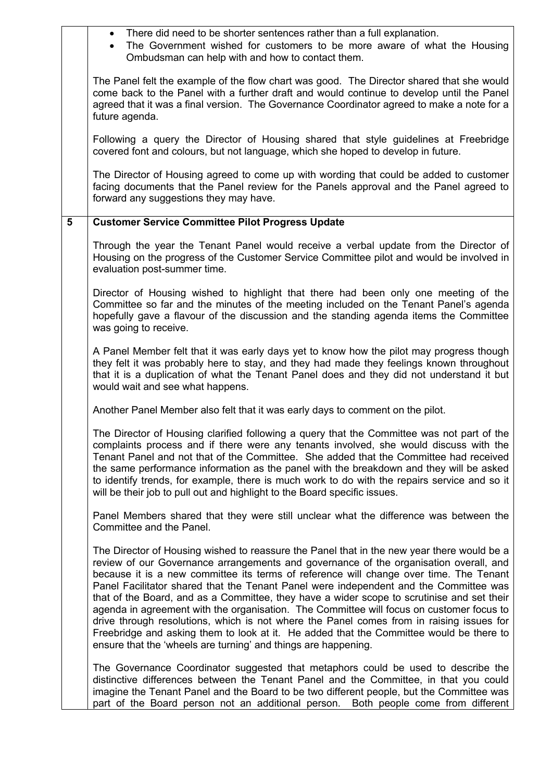|   | There did need to be shorter sentences rather than a full explanation.<br>$\bullet$<br>The Government wished for customers to be more aware of what the Housing<br>$\bullet$<br>Ombudsman can help with and how to contact them.                                                                                                                                                                                                                                                                                                                                                                                                                                                                                                                                                                                          |
|---|---------------------------------------------------------------------------------------------------------------------------------------------------------------------------------------------------------------------------------------------------------------------------------------------------------------------------------------------------------------------------------------------------------------------------------------------------------------------------------------------------------------------------------------------------------------------------------------------------------------------------------------------------------------------------------------------------------------------------------------------------------------------------------------------------------------------------|
|   | The Panel felt the example of the flow chart was good. The Director shared that she would<br>come back to the Panel with a further draft and would continue to develop until the Panel<br>agreed that it was a final version. The Governance Coordinator agreed to make a note for a<br>future agenda.                                                                                                                                                                                                                                                                                                                                                                                                                                                                                                                    |
|   | Following a query the Director of Housing shared that style guidelines at Freebridge<br>covered font and colours, but not language, which she hoped to develop in future.                                                                                                                                                                                                                                                                                                                                                                                                                                                                                                                                                                                                                                                 |
|   | The Director of Housing agreed to come up with wording that could be added to customer<br>facing documents that the Panel review for the Panels approval and the Panel agreed to<br>forward any suggestions they may have.                                                                                                                                                                                                                                                                                                                                                                                                                                                                                                                                                                                                |
| 5 | <b>Customer Service Committee Pilot Progress Update</b>                                                                                                                                                                                                                                                                                                                                                                                                                                                                                                                                                                                                                                                                                                                                                                   |
|   | Through the year the Tenant Panel would receive a verbal update from the Director of<br>Housing on the progress of the Customer Service Committee pilot and would be involved in<br>evaluation post-summer time.                                                                                                                                                                                                                                                                                                                                                                                                                                                                                                                                                                                                          |
|   | Director of Housing wished to highlight that there had been only one meeting of the<br>Committee so far and the minutes of the meeting included on the Tenant Panel's agenda<br>hopefully gave a flavour of the discussion and the standing agenda items the Committee<br>was going to receive.                                                                                                                                                                                                                                                                                                                                                                                                                                                                                                                           |
|   | A Panel Member felt that it was early days yet to know how the pilot may progress though<br>they felt it was probably here to stay, and they had made they feelings known throughout<br>that it is a duplication of what the Tenant Panel does and they did not understand it but<br>would wait and see what happens.                                                                                                                                                                                                                                                                                                                                                                                                                                                                                                     |
|   | Another Panel Member also felt that it was early days to comment on the pilot.                                                                                                                                                                                                                                                                                                                                                                                                                                                                                                                                                                                                                                                                                                                                            |
|   | The Director of Housing clarified following a query that the Committee was not part of the<br>complaints process and if there were any tenants involved, she would discuss with the<br>Tenant Panel and not that of the Committee. She added that the Committee had received<br>the same performance information as the panel with the breakdown and they will be asked<br>to identify trends, for example, there is much work to do with the repairs service and so it<br>will be their job to pull out and highlight to the Board specific issues.                                                                                                                                                                                                                                                                      |
|   | Panel Members shared that they were still unclear what the difference was between the<br>Committee and the Panel.                                                                                                                                                                                                                                                                                                                                                                                                                                                                                                                                                                                                                                                                                                         |
|   | The Director of Housing wished to reassure the Panel that in the new year there would be a<br>review of our Governance arrangements and governance of the organisation overall, and<br>because it is a new committee its terms of reference will change over time. The Tenant<br>Panel Facilitator shared that the Tenant Panel were independent and the Committee was<br>that of the Board, and as a Committee, they have a wider scope to scrutinise and set their<br>agenda in agreement with the organisation. The Committee will focus on customer focus to<br>drive through resolutions, which is not where the Panel comes from in raising issues for<br>Freebridge and asking them to look at it. He added that the Committee would be there to<br>ensure that the 'wheels are turning' and things are happening. |
|   | The Governance Coordinator suggested that metaphors could be used to describe the<br>distinctive differences between the Tenant Panel and the Committee, in that you could<br>imagine the Tenant Panel and the Board to be two different people, but the Committee was<br>part of the Board person not an additional person.<br>Both people come from different                                                                                                                                                                                                                                                                                                                                                                                                                                                           |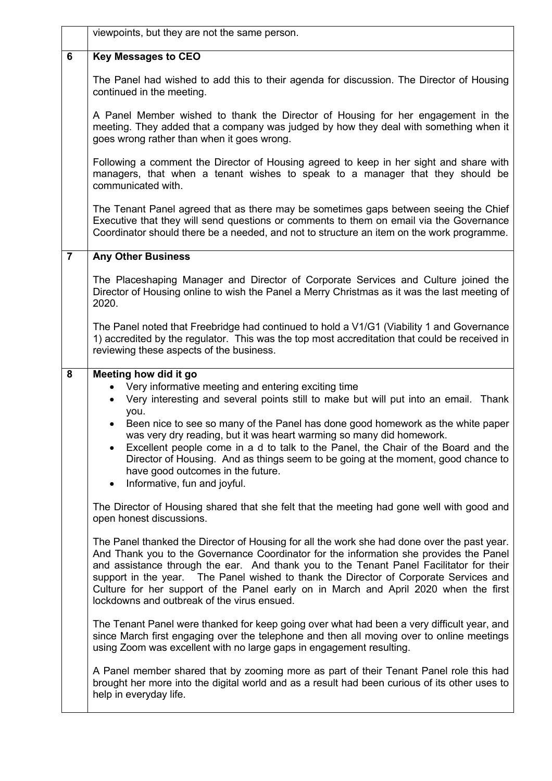|                | viewpoints, but they are not the same person.                                                                                                                                                                                                                                                                                                                                                                                                                                                                                                                                                                                                                                                                                                                                                                                                                                                                                                                                                                                                                                                                                                                                                                                                                                                                                                                                                                                                                                                                                                                                                                                                       |
|----------------|-----------------------------------------------------------------------------------------------------------------------------------------------------------------------------------------------------------------------------------------------------------------------------------------------------------------------------------------------------------------------------------------------------------------------------------------------------------------------------------------------------------------------------------------------------------------------------------------------------------------------------------------------------------------------------------------------------------------------------------------------------------------------------------------------------------------------------------------------------------------------------------------------------------------------------------------------------------------------------------------------------------------------------------------------------------------------------------------------------------------------------------------------------------------------------------------------------------------------------------------------------------------------------------------------------------------------------------------------------------------------------------------------------------------------------------------------------------------------------------------------------------------------------------------------------------------------------------------------------------------------------------------------------|
| $6\phantom{1}$ | <b>Key Messages to CEO</b>                                                                                                                                                                                                                                                                                                                                                                                                                                                                                                                                                                                                                                                                                                                                                                                                                                                                                                                                                                                                                                                                                                                                                                                                                                                                                                                                                                                                                                                                                                                                                                                                                          |
|                | The Panel had wished to add this to their agenda for discussion. The Director of Housing<br>continued in the meeting.                                                                                                                                                                                                                                                                                                                                                                                                                                                                                                                                                                                                                                                                                                                                                                                                                                                                                                                                                                                                                                                                                                                                                                                                                                                                                                                                                                                                                                                                                                                               |
|                | A Panel Member wished to thank the Director of Housing for her engagement in the<br>meeting. They added that a company was judged by how they deal with something when it<br>goes wrong rather than when it goes wrong.                                                                                                                                                                                                                                                                                                                                                                                                                                                                                                                                                                                                                                                                                                                                                                                                                                                                                                                                                                                                                                                                                                                                                                                                                                                                                                                                                                                                                             |
|                | Following a comment the Director of Housing agreed to keep in her sight and share with<br>managers, that when a tenant wishes to speak to a manager that they should be<br>communicated with.                                                                                                                                                                                                                                                                                                                                                                                                                                                                                                                                                                                                                                                                                                                                                                                                                                                                                                                                                                                                                                                                                                                                                                                                                                                                                                                                                                                                                                                       |
|                | The Tenant Panel agreed that as there may be sometimes gaps between seeing the Chief<br>Executive that they will send questions or comments to them on email via the Governance<br>Coordinator should there be a needed, and not to structure an item on the work programme.                                                                                                                                                                                                                                                                                                                                                                                                                                                                                                                                                                                                                                                                                                                                                                                                                                                                                                                                                                                                                                                                                                                                                                                                                                                                                                                                                                        |
| $\overline{7}$ | <b>Any Other Business</b>                                                                                                                                                                                                                                                                                                                                                                                                                                                                                                                                                                                                                                                                                                                                                                                                                                                                                                                                                                                                                                                                                                                                                                                                                                                                                                                                                                                                                                                                                                                                                                                                                           |
|                | The Placeshaping Manager and Director of Corporate Services and Culture joined the<br>Director of Housing online to wish the Panel a Merry Christmas as it was the last meeting of<br>2020.                                                                                                                                                                                                                                                                                                                                                                                                                                                                                                                                                                                                                                                                                                                                                                                                                                                                                                                                                                                                                                                                                                                                                                                                                                                                                                                                                                                                                                                         |
|                | The Panel noted that Freebridge had continued to hold a V1/G1 (Viability 1 and Governance<br>1) accredited by the regulator. This was the top most accreditation that could be received in<br>reviewing these aspects of the business.                                                                                                                                                                                                                                                                                                                                                                                                                                                                                                                                                                                                                                                                                                                                                                                                                                                                                                                                                                                                                                                                                                                                                                                                                                                                                                                                                                                                              |
| 8              | Meeting how did it go<br>Very informative meeting and entering exciting time<br>$\bullet$<br>Very interesting and several points still to make but will put into an email. Thank<br>$\bullet$<br>you.<br>Been nice to see so many of the Panel has done good homework as the white paper<br>$\bullet$<br>was very dry reading, but it was heart warming so many did homework.<br>Excellent people come in a d to talk to the Panel, the Chair of the Board and the<br>Director of Housing. And as things seem to be going at the moment, good chance to<br>have good outcomes in the future.<br>Informative, fun and joyful.<br>$\bullet$<br>The Director of Housing shared that she felt that the meeting had gone well with good and<br>open honest discussions.<br>The Panel thanked the Director of Housing for all the work she had done over the past year.<br>And Thank you to the Governance Coordinator for the information she provides the Panel<br>and assistance through the ear. And thank you to the Tenant Panel Facilitator for their<br>support in the year. The Panel wished to thank the Director of Corporate Services and<br>Culture for her support of the Panel early on in March and April 2020 when the first<br>lockdowns and outbreak of the virus ensued.<br>The Tenant Panel were thanked for keep going over what had been a very difficult year, and<br>since March first engaging over the telephone and then all moving over to online meetings<br>using Zoom was excellent with no large gaps in engagement resulting.<br>A Panel member shared that by zooming more as part of their Tenant Panel role this had |
|                | brought her more into the digital world and as a result had been curious of its other uses to<br>help in everyday life.                                                                                                                                                                                                                                                                                                                                                                                                                                                                                                                                                                                                                                                                                                                                                                                                                                                                                                                                                                                                                                                                                                                                                                                                                                                                                                                                                                                                                                                                                                                             |